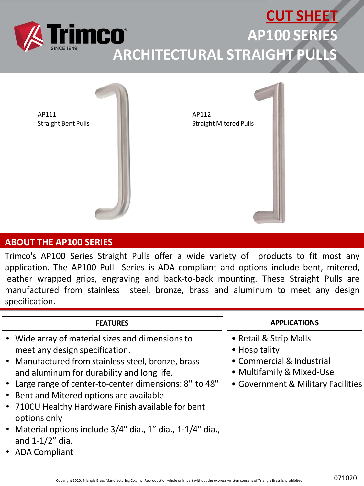



### **ABOUT THE AP100 SERIES**

Trimco's AP100 Series Straight Pulls offer a wide variety of products to fit most any application. The AP100 Pull Series is ADA compliant and options include bent, mitered, leather wrapped grips, engraving and back-to-back mounting. These Straight Pulls are manufactured from stainless steel, bronze, brass and aluminum to meet any design specification.

#### **FEATURES**

- Wide array of material sizes and dimensions to meet any design specification.
- Manufactured from stainless steel, bronze, brass and aluminum for durability and long life.
- Large range of center-to-center dimensions: 8" to 48"
- Bent and Mitered options are available
- 710CU Healthy Hardware Finish available for bent options only
- Material options include 3/4" dia., 1" dia., 1-1/4" dia., and 1-1/2" dia.
- ADA Compliant

#### **APPLICATIONS**

- Retail & Strip Malls
- Hospitality
- Commercial & Industrial
- Multifamily & Mixed-Use
- Government & Military Facilities